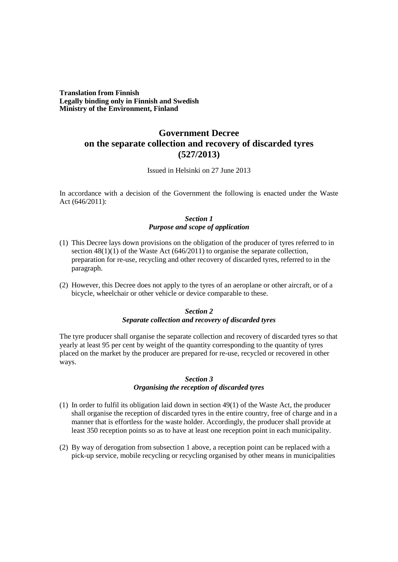**Translation from Finnish Legally binding only in Finnish and Swedish Ministry of the Environment, Finland**

# **Government Decree on the separate collection and recovery of discarded tyres (527/2013)**

Issued in Helsinki on 27 June 2013

In accordance with a decision of the Government the following is enacted under the Waste Act (646/2011):

## *Section 1 Purpose and scope of application*

- (1) This Decree lays down provisions on the obligation of the producer of tyres referred to in section  $48(1)(1)$  of the Waste Act (646/2011) to organise the separate collection, preparation for re-use, recycling and other recovery of discarded tyres, referred to in the paragraph.
- (2) However, this Decree does not apply to the tyres of an aeroplane or other aircraft, or of a bicycle, wheelchair or other vehicle or device comparable to these.

## *Section 2 Separate collection and recovery of discarded tyres*

The tyre producer shall organise the separate collection and recovery of discarded tyres so that yearly at least 95 per cent by weight of the quantity corresponding to the quantity of tyres placed on the market by the producer are prepared for re-use, recycled or recovered in other ways.

## *Section 3*

#### *Organising the reception of discarded tyres*

- (1) In order to fulfil its obligation laid down in section 49(1) of the Waste Act, the producer shall organise the reception of discarded tyres in the entire country, free of charge and in a manner that is effortless for the waste holder. Accordingly, the producer shall provide at least 350 reception points so as to have at least one reception point in each municipality.
- (2) By way of derogation from subsection 1 above, a reception point can be replaced with a pick-up service, mobile recycling or recycling organised by other means in municipalities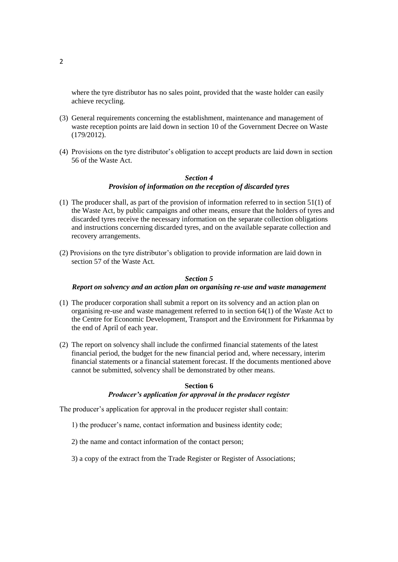where the tyre distributor has no sales point, provided that the waste holder can easily achieve recycling.

- (3) General requirements concerning the establishment, maintenance and management of waste reception points are laid down in section 10 of the Government Decree on Waste (179/2012).
- (4) Provisions on the tyre distributor's obligation to accept products are laid down in section 56 of the Waste Act.

### *Section 4 Provision of information on the reception of discarded tyres*

- (1) The producer shall, as part of the provision of information referred to in section 51(1) of the Waste Act, by public campaigns and other means, ensure that the holders of tyres and discarded tyres receive the necessary information on the separate collection obligations and instructions concerning discarded tyres, and on the available separate collection and recovery arrangements.
- (2) Provisions on the tyre distributor's obligation to provide information are laid down in section 57 of the Waste Act.

#### *Section 5*

#### *Report on solvency and an action plan on organising re-use and waste management*

- (1) The producer corporation shall submit a report on its solvency and an action plan on organising re-use and waste management referred to in section 64(1) of the Waste Act to the Centre for Economic Development, Transport and the Environment for Pirkanmaa by the end of April of each year.
- (2) The report on solvency shall include the confirmed financial statements of the latest financial period, the budget for the new financial period and, where necessary, interim financial statements or a financial statement forecast. If the documents mentioned above cannot be submitted, solvency shall be demonstrated by other means.

#### **Section 6**

#### *Producer's application for approval in the producer register*

The producer's application for approval in the producer register shall contain:

- 1) the producer's name, contact information and business identity code;
- 2) the name and contact information of the contact person;
- 3) a copy of the extract from the Trade Register or Register of Associations;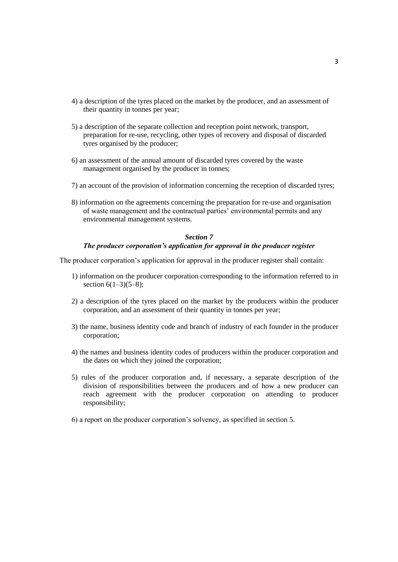- 4) a description of the tyres placed on the market by the producer, and an assessment of their quantity in tonnes per year;
- 5) a description of the separate collection and reception point network, transport, preparation for re-use, recycling, other types of recovery and disposal of discarded tyres organised by the producer;
- 6) an assessment of the annual amount of discarded tyres covered by the waste management organised by the producer in tonnes;
- 7) an account of the provision of information concerning the reception of discarded tyres;
- 8) information on the agreements concerning the preparation for re-use and organisation of waste management and the contractual parties' environmental permits and any environmental management systems.

## *Section 7 The producer corporation's application for approval in the producer register*

The producer corporation's application for approval in the producer register shall contain:

- 1) information on the producer corporation corresponding to the information referred to in section  $6(1-3)(5-8)$ ;
- 2) a description of the tyres placed on the market by the producers within the producer corporation, and an assessment of their quantity in tonnes per year;
- 3) the name, business identity code and branch of industry of each founder in the producer corporation;
- 4) the names and business identity codes of producers within the producer corporation and the dates on which they joined the corporation;
- 5) rules of the producer corporation and, if necessary, a separate description of the division of responsibilities between the producers and of how a new producer can reach agreement with the producer corporation on attending to producer responsibility;
- 6) a report on the producer corporation's solvency, as specified in section 5.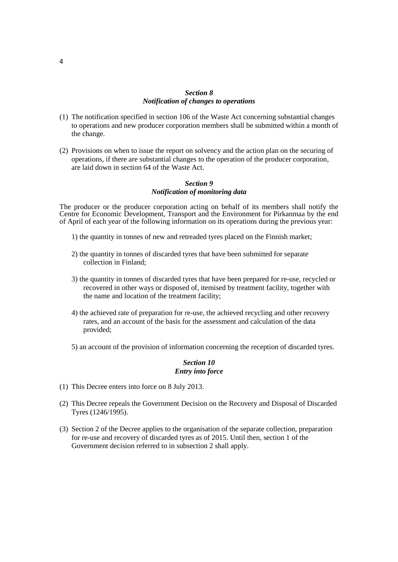## *Section 8 Notification of changes to operations*

- (1) The notification specified in section 106 of the Waste Act concerning substantial changes to operations and new producer corporation members shall be submitted within a month of the change.
- (2) Provisions on when to issue the report on solvency and the action plan on the securing of operations, if there are substantial changes to the operation of the producer corporation, are laid down in section 64 of the Waste Act.

### *Section 9 Notification of monitoring data*

The producer or the producer corporation acting on behalf of its members shall notify the Centre for Economic Development, Transport and the Environment for Pirkanmaa by the end of April of each year of the following information on its operations during the previous year:

- 1) the quantity in tonnes of new and retreaded tyres placed on the Finnish market;
- 2) the quantity in tonnes of discarded tyres that have been submitted for separate collection in Finland;
- 3) the quantity in tonnes of discarded tyres that have been prepared for re-use, recycled or recovered in other ways or disposed of, itemised by treatment facility, together with the name and location of the treatment facility;
- 4) the achieved rate of preparation for re-use, the achieved recycling and other recovery rates, and an account of the basis for the assessment and calculation of the data provided;
- 5) an account of the provision of information concerning the reception of discarded tyres.

#### *Section 10 Entry into force*

- (1) This Decree enters into force on 8 July 2013.
- (2) This Decree repeals the Government Decision on the Recovery and Disposal of Discarded Tyres (1246/1995).
- (3) Section 2 of the Decree applies to the organisation of the separate collection, preparation for re-use and recovery of discarded tyres as of 2015. Until then, section 1 of the Government decision referred to in subsection 2 shall apply.